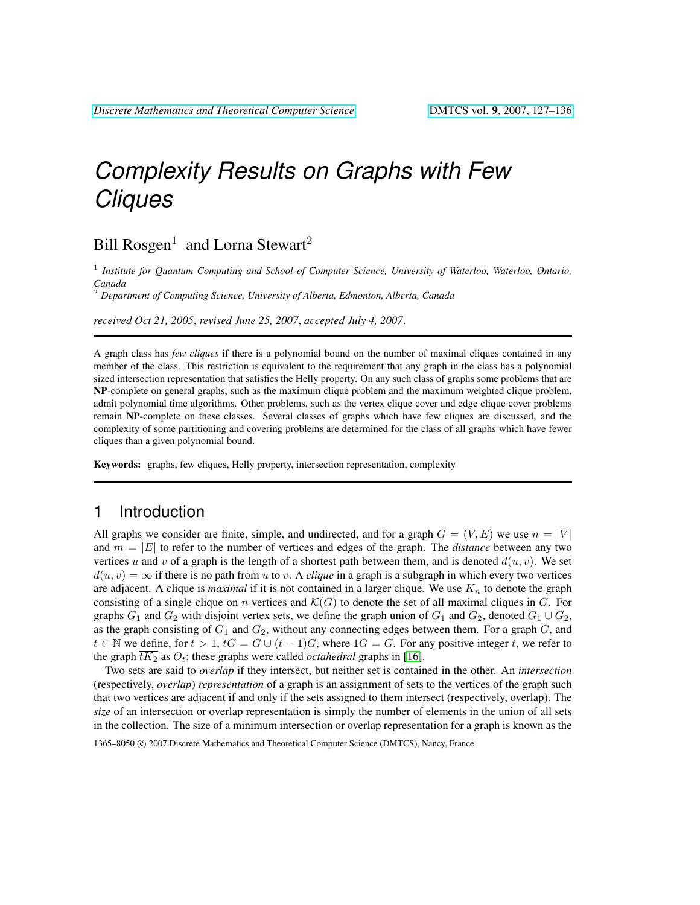# *Complexity Results on Graphs with Few Cliques*

# Bill Rosgen<sup>1</sup> and Lorna Stewart<sup>2</sup>

1 *Institute for Quantum Computing and School of Computer Science, University of Waterloo, Waterloo, Ontario, Canada*

<sup>2</sup> *Department of Computing Science, University of Alberta, Edmonton, Alberta, Canada*

*received Oct 21, 2005*, *revised June 25, 2007*, *accepted July 4, 2007*.

A graph class has *few cliques* if there is a polynomial bound on the number of maximal cliques contained in any member of the class. This restriction is equivalent to the requirement that any graph in the class has a polynomial sized intersection representation that satisfies the Helly property. On any such class of graphs some problems that are NP-complete on general graphs, such as the maximum clique problem and the maximum weighted clique problem, admit polynomial time algorithms. Other problems, such as the vertex clique cover and edge clique cover problems remain NP-complete on these classes. Several classes of graphs which have few cliques are discussed, and the complexity of some partitioning and covering problems are determined for the class of all graphs which have fewer cliques than a given polynomial bound.

Keywords: graphs, few cliques, Helly property, intersection representation, complexity

## 1 Introduction

All graphs we consider are finite, simple, and undirected, and for a graph  $G = (V, E)$  we use  $n = |V|$ and  $m = |E|$  to refer to the number of vertices and edges of the graph. The *distance* between any two vertices u and v of a graph is the length of a shortest path between them, and is denoted  $d(u, v)$ . We set  $d(u, v) = \infty$  if there is no path from u to v. A *clique* in a graph is a subgraph in which every two vertices are adjacent. A clique is *maximal* if it is not contained in a larger clique. We use  $K_n$  to denote the graph consisting of a single clique on n vertices and  $\mathcal{K}(G)$  to denote the set of all maximal cliques in G. For graphs  $G_1$  and  $G_2$  with disjoint vertex sets, we define the graph union of  $G_1$  and  $G_2$ , denoted  $G_1 \cup G_2$ , as the graph consisting of  $G_1$  and  $G_2$ , without any connecting edges between them. For a graph  $G$ , and  $t \in \mathbb{N}$  we define, for  $t > 1$ ,  $tG = G \cup (t-1)G$ , where  $1G = G$ . For any positive integer t, we refer to the graph  $\overline{tK_2}$  as  $O_t$ ; these graphs were called *octahedral* graphs in [\[16\]](#page-8-0).

Two sets are said to *overlap* if they intersect, but neither set is contained in the other. An *intersection* (respectively, *overlap*) *representation* of a graph is an assignment of sets to the vertices of the graph such that two vertices are adjacent if and only if the sets assigned to them intersect (respectively, overlap). The *size* of an intersection or overlap representation is simply the number of elements in the union of all sets in the collection. The size of a minimum intersection or overlap representation for a graph is known as the

<sup>1365–8050</sup> C 2007 Discrete Mathematics and Theoretical Computer Science (DMTCS), Nancy, France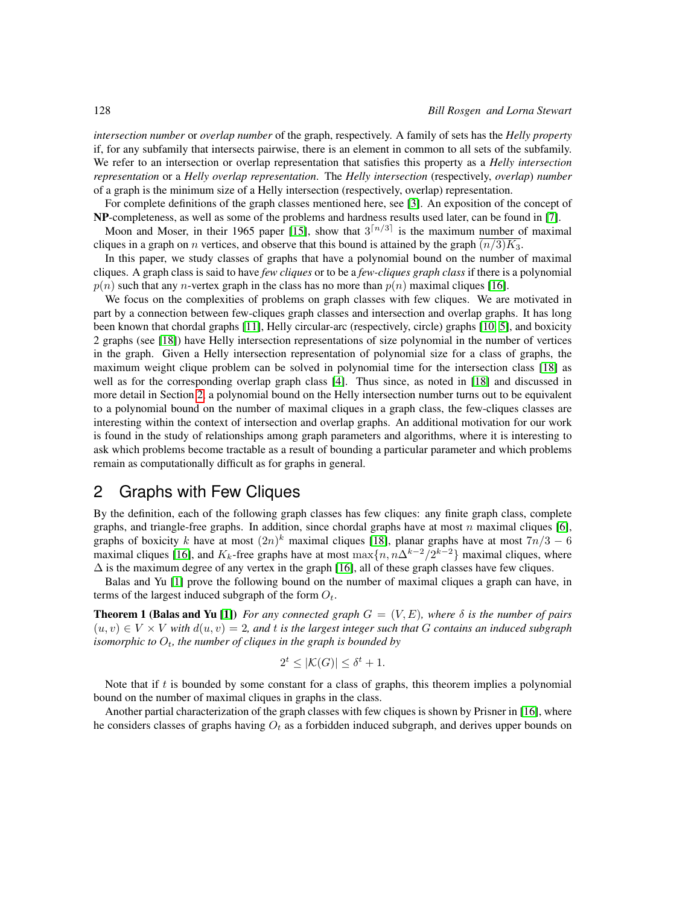*intersection number* or *overlap number* of the graph, respectively. A family of sets has the *Helly property* if, for any subfamily that intersects pairwise, there is an element in common to all sets of the subfamily. We refer to an intersection or overlap representation that satisfies this property as a *Helly intersection representation* or a *Helly overlap representation*. The *Helly intersection* (respectively, *overlap*) *number* of a graph is the minimum size of a Helly intersection (respectively, overlap) representation.

For complete definitions of the graph classes mentioned here, see [\[3\]](#page-7-0). An exposition of the concept of NP-completeness, as well as some of the problems and hardness results used later, can be found in [\[7\]](#page-7-1).

Moon and Moser, in their 1965 paper [\[15\]](#page-8-1), show that  $3^{n/3}$  is the maximum number of maximal cliques in a graph on n vertices, and observe that this bound is attained by the graph  $\overline{(n/3)K_3}$ .

In this paper, we study classes of graphs that have a polynomial bound on the number of maximal cliques. A graph class is said to have *few cliques* or to be a *few-cliques graph class* if there is a polynomial  $p(n)$  such that any *n*-vertex graph in the class has no more than  $p(n)$  maximal cliques [\[16\]](#page-8-0).

We focus on the complexities of problems on graph classes with few cliques. We are motivated in part by a connection between few-cliques graph classes and intersection and overlap graphs. It has long been known that chordal graphs [\[11\]](#page-8-2), Helly circular-arc (respectively, circle) graphs [\[10,](#page-8-3) [5\]](#page-7-2), and boxicity 2 graphs (see [\[18\]](#page-8-4)) have Helly intersection representations of size polynomial in the number of vertices in the graph. Given a Helly intersection representation of polynomial size for a class of graphs, the maximum weight clique problem can be solved in polynomial time for the intersection class [\[18\]](#page-8-4) as well as for the corresponding overlap graph class [\[4\]](#page-7-3). Thus since, as noted in [\[18\]](#page-8-4) and discussed in more detail in Section [2,](#page-1-0) a polynomial bound on the Helly intersection number turns out to be equivalent to a polynomial bound on the number of maximal cliques in a graph class, the few-cliques classes are interesting within the context of intersection and overlap graphs. An additional motivation for our work is found in the study of relationships among graph parameters and algorithms, where it is interesting to ask which problems become tractable as a result of bounding a particular parameter and which problems remain as computationally difficult as for graphs in general.

# <span id="page-1-0"></span>2 Graphs with Few Cliques

By the definition, each of the following graph classes has few cliques: any finite graph class, complete graphs, and triangle-free graphs. In addition, since chordal graphs have at most n maximal cliques [\[6\]](#page-7-4), graphs of boxicity k have at most  $(2n)^k$  maximal cliques [\[18\]](#page-8-4), planar graphs have at most  $7n/3 - 6$ maximal cliques [\[16\]](#page-8-0), and  $K_k$ -free graphs have at most  $\max\{n, n\Delta^{k-2}/2^{k-2}\}\$  maximal cliques, where  $\Delta$  is the maximum degree of any vertex in the graph [\[16\]](#page-8-0), all of these graph classes have few cliques.

Balas and Yu [\[1\]](#page-7-5) prove the following bound on the number of maximal cliques a graph can have, in terms of the largest induced subgraph of the form  $O_t$ .

**Theorem 1 (Balas and Yu [\[1\]](#page-7-5))** *For any connected graph*  $G = (V, E)$ *, where*  $\delta$  *is the number of pairs*  $(u, v) \in V \times V$  with  $d(u, v) = 2$ , and t is the largest integer such that G contains an induced subgraph *isomorphic to*  $O_t$ , the number of cliques in the graph is bounded by

$$
2^t \le |\mathcal{K}(G)| \le \delta^t + 1.
$$

Note that if  $t$  is bounded by some constant for a class of graphs, this theorem implies a polynomial bound on the number of maximal cliques in graphs in the class.

Another partial characterization of the graph classes with few cliques is shown by Prisner in [\[16\]](#page-8-0), where he considers classes of graphs having  $O_t$  as a forbidden induced subgraph, and derives upper bounds on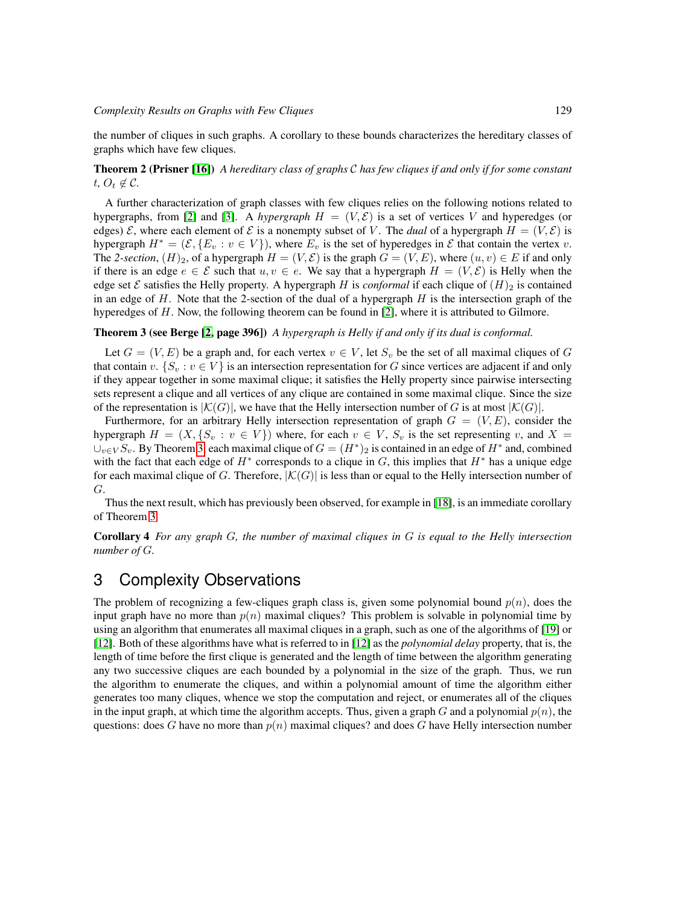the number of cliques in such graphs. A corollary to these bounds characterizes the hereditary classes of graphs which have few cliques.

#### Theorem 2 (Prisner [\[16\]](#page-8-0)) *A hereditary class of graphs* C *has few cliques if and only if for some constant*  $t, O_t \notin \mathcal{C}$ .

A further characterization of graph classes with few cliques relies on the following notions related to hypergraphs, from [\[2\]](#page-7-6) and [\[3\]](#page-7-0). A *hypergraph*  $H = (V, \mathcal{E})$  is a set of vertices V and hyperedges (or edges)  $\mathcal E$ , where each element of  $\mathcal E$  is a nonempty subset of V. The *dual* of a hypergraph  $H = (V, \mathcal E)$  is hypergraph  $H^* = (\mathcal{E}, \{E_v : v \in V\})$ , where  $E_v$  is the set of hyperedges in  $\mathcal E$  that contain the vertex v. The 2-section,  $(H)_2$ , of a hypergraph  $H = (V, \mathcal{E})$  is the graph  $G = (V, E)$ , where  $(u, v) \in E$  if and only if there is an edge  $e \in \mathcal{E}$  such that  $u, v \in e$ . We say that a hypergraph  $H = (V, \mathcal{E})$  is Helly when the edge set E satisfies the Helly property. A hypergraph H is *conformal* if each clique of  $(H)_2$  is contained in an edge of  $H$ . Note that the 2-section of the dual of a hypergraph  $H$  is the intersection graph of the hyperedges of H. Now, the following theorem can be found in [\[2\]](#page-7-6), where it is attributed to Gilmore.

#### <span id="page-2-0"></span>Theorem 3 (see Berge [\[2,](#page-7-6) page 396]) *A hypergraph is Helly if and only if its dual is conformal.*

Let  $G = (V, E)$  be a graph and, for each vertex  $v \in V$ , let  $S_v$  be the set of all maximal cliques of G that contain v.  $\{S_n : v \in V\}$  is an intersection representation for G since vertices are adjacent if and only if they appear together in some maximal clique; it satisfies the Helly property since pairwise intersecting sets represent a clique and all vertices of any clique are contained in some maximal clique. Since the size of the representation is  $|K(G)|$ , we have that the Helly intersection number of G is at most  $|K(G)|$ .

Furthermore, for an arbitrary Helly intersection representation of graph  $G = (V, E)$ , consider the hypergraph  $H = (X, \{S_v : v \in V\})$  where, for each  $v \in V$ ,  $S_v$  is the set representing v, and  $X =$  $\cup_{v \in V} S_v$ . By Theorem [3,](#page-2-0) each maximal clique of  $G = (H^*)_2$  is contained in an edge of  $H^*$  and, combined with the fact that each edge of  $H^*$  corresponds to a clique in G, this implies that  $H^*$  has a unique edge for each maximal clique of G. Therefore,  $|\mathcal{K}(G)|$  is less than or equal to the Helly intersection number of G.

Thus the next result, which has previously been observed, for example in [\[18\]](#page-8-4), is an immediate corollary of Theorem [3.](#page-2-0)

Corollary 4 *For any graph* G*, the number of maximal cliques in* G *is equal to the Helly intersection number of* G*.*

## <span id="page-2-1"></span>3 Complexity Observations

The problem of recognizing a few-cliques graph class is, given some polynomial bound  $p(n)$ , does the input graph have no more than  $p(n)$  maximal cliques? This problem is solvable in polynomial time by using an algorithm that enumerates all maximal cliques in a graph, such as one of the algorithms of [\[19\]](#page-8-5) or [\[12\]](#page-8-6). Both of these algorithms have what is referred to in [\[12\]](#page-8-6) as the *polynomial delay* property, that is, the length of time before the first clique is generated and the length of time between the algorithm generating any two successive cliques are each bounded by a polynomial in the size of the graph. Thus, we run the algorithm to enumerate the cliques, and within a polynomial amount of time the algorithm either generates too many cliques, whence we stop the computation and reject, or enumerates all of the cliques in the input graph, at which time the algorithm accepts. Thus, given a graph G and a polynomial  $p(n)$ , the questions: does G have no more than  $p(n)$  maximal cliques? and does G have Helly intersection number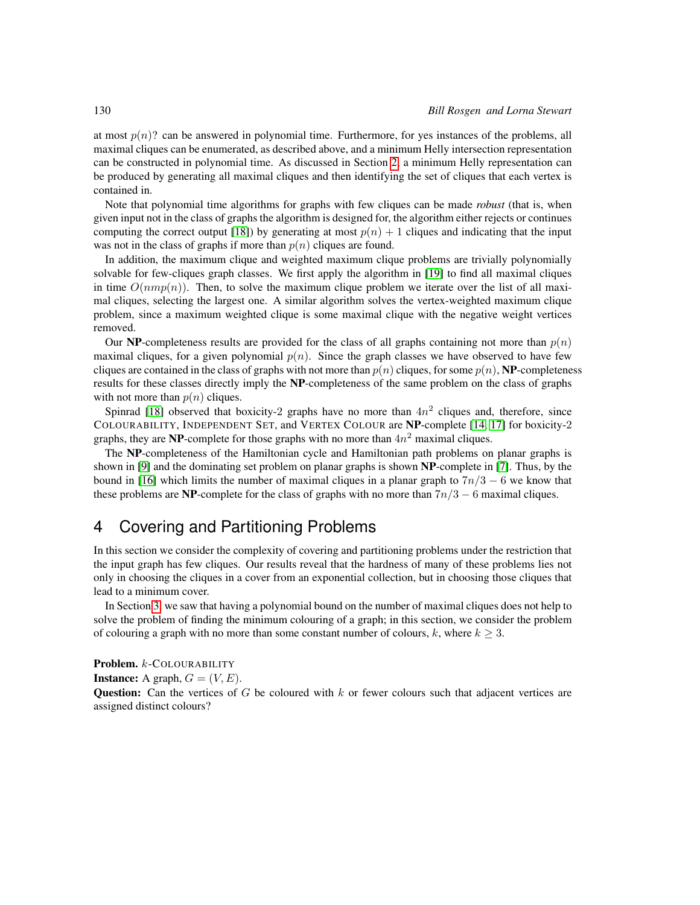at most  $p(n)$ ? can be answered in polynomial time. Furthermore, for yes instances of the problems, all maximal cliques can be enumerated, as described above, and a minimum Helly intersection representation can be constructed in polynomial time. As discussed in Section [2,](#page-1-0) a minimum Helly representation can be produced by generating all maximal cliques and then identifying the set of cliques that each vertex is contained in.

Note that polynomial time algorithms for graphs with few cliques can be made *robust* (that is, when given input not in the class of graphs the algorithm is designed for, the algorithm either rejects or continues computing the correct output [\[18\]](#page-8-4)) by generating at most  $p(n) + 1$  cliques and indicating that the input was not in the class of graphs if more than  $p(n)$  cliques are found.

In addition, the maximum clique and weighted maximum clique problems are trivially polynomially solvable for few-cliques graph classes. We first apply the algorithm in [\[19\]](#page-8-5) to find all maximal cliques in time  $O(nmp(n))$ . Then, to solve the maximum clique problem we iterate over the list of all maximal cliques, selecting the largest one. A similar algorithm solves the vertex-weighted maximum clique problem, since a maximum weighted clique is some maximal clique with the negative weight vertices removed.

Our NP-completeness results are provided for the class of all graphs containing not more than  $p(n)$ maximal cliques, for a given polynomial  $p(n)$ . Since the graph classes we have observed to have few cliques are contained in the class of graphs with not more than  $p(n)$  cliques, for some  $p(n)$ , NP-completeness results for these classes directly imply the NP-completeness of the same problem on the class of graphs with not more than  $p(n)$  cliques.

Spinrad [\[18\]](#page-8-4) observed that boxicity-2 graphs have no more than  $4n^2$  cliques and, therefore, since COLOURABILITY, INDEPENDENT SET, and VERTEX COLOUR are NP-complete [\[14,](#page-8-7) [17\]](#page-8-8) for boxicity-2 graphs, they are NP-complete for those graphs with no more than  $4n^2$  maximal cliques.

The NP-completeness of the Hamiltonian cycle and Hamiltonian path problems on planar graphs is shown in [\[9\]](#page-8-9) and the dominating set problem on planar graphs is shown NP-complete in [\[7\]](#page-7-1). Thus, by the bound in [\[16\]](#page-8-0) which limits the number of maximal cliques in a planar graph to  $7n/3 - 6$  we know that these problems are NP-complete for the class of graphs with no more than  $7n/3 - 6$  maximal cliques.

## 4 Covering and Partitioning Problems

In this section we consider the complexity of covering and partitioning problems under the restriction that the input graph has few cliques. Our results reveal that the hardness of many of these problems lies not only in choosing the cliques in a cover from an exponential collection, but in choosing those cliques that lead to a minimum cover.

In Section [3,](#page-2-1) we saw that having a polynomial bound on the number of maximal cliques does not help to solve the problem of finding the minimum colouring of a graph; in this section, we consider the problem of colouring a graph with no more than some constant number of colours, k, where  $k \geq 3$ .

<span id="page-3-0"></span>Problem. k-COLOURABILITY **Instance:** A graph,  $G = (V, E)$ . **Question:** Can the vertices of G be coloured with k or fewer colours such that adjacent vertices are assigned distinct colours?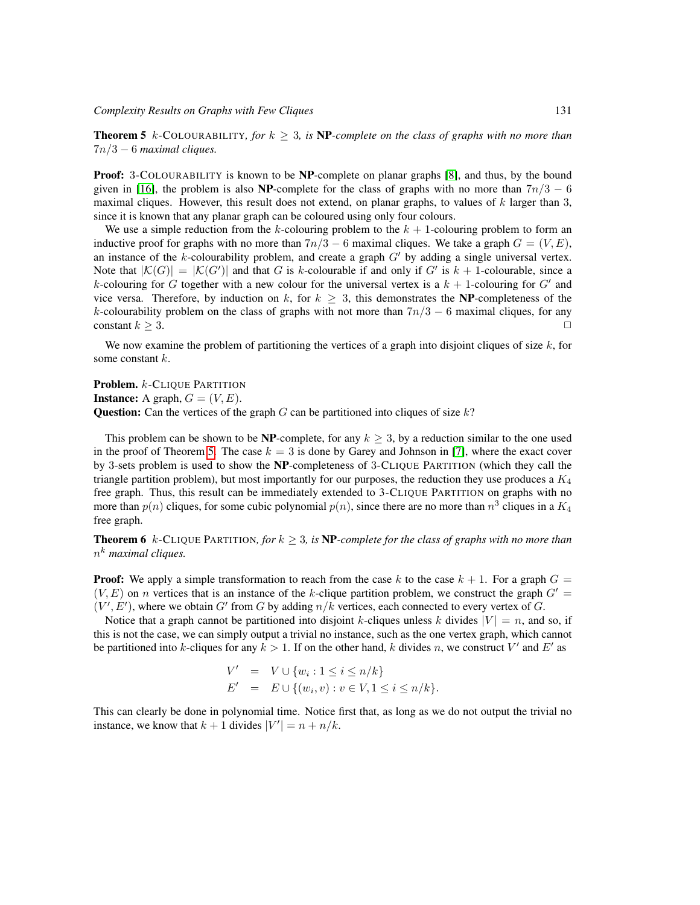**Theorem 5** k-COLOURABILITY, for  $k \geq 3$ , is **NP**-complete on the class of graphs with no more than 7n/3 − 6 *maximal cliques.*

Proof: 3-COLOURABILITY is known to be NP-complete on planar graphs [\[8\]](#page-7-7), and thus, by the bound given in [\[16\]](#page-8-0), the problem is also NP-complete for the class of graphs with no more than  $7n/3 - 6$ maximal cliques. However, this result does not extend, on planar graphs, to values of  $k$  larger than 3, since it is known that any planar graph can be coloured using only four colours.

We use a simple reduction from the k-colouring problem to the  $k + 1$ -colouring problem to form an inductive proof for graphs with no more than  $7n/3 - 6$  maximal cliques. We take a graph  $G = (V, E)$ , an instance of the k-colourability problem, and create a graph  $G'$  by adding a single universal vertex. Note that  $|\mathcal{K}(G)| = |\mathcal{K}(G')|$  and that G is k-colourable if and only if G' is  $k + 1$ -colourable, since a k-colouring for G together with a new colour for the universal vertex is a  $k + 1$ -colouring for G' and vice versa. Therefore, by induction on k, for  $k > 3$ , this demonstrates the NP-completeness of the k-colourability problem on the class of graphs with not more than  $7n/3 - 6$  maximal cliques, for any constant  $k > 3$ .

We now examine the problem of partitioning the vertices of a graph into disjoint cliques of size  $k$ , for some constant k.

Problem. k-CLIQUE PARTITION **Instance:** A graph,  $G = (V, E)$ . Question: Can the vertices of the graph  $G$  can be partitioned into cliques of size  $k$ ?

This problem can be shown to be NP-complete, for any  $k \geq 3$ , by a reduction similar to the one used in the proof of Theorem [5.](#page-3-0) The case  $k = 3$  is done by Garey and Johnson in [\[7\]](#page-7-1), where the exact cover by 3-sets problem is used to show the NP-completeness of 3-CLIQUE PARTITION (which they call the triangle partition problem), but most importantly for our purposes, the reduction they use produces a  $K_4$ free graph. Thus, this result can be immediately extended to 3-CLIQUE PARTITION on graphs with no more than  $p(n)$  cliques, for some cubic polynomial  $p(n)$ , since there are no more than  $n^3$  cliques in a  $K_4$ free graph.

**Theorem 6** k-CLIQUE PARTITION, for  $k \geq 3$ , is **NP**-complete for the class of graphs with no more than n <sup>k</sup> *maximal cliques.*

**Proof:** We apply a simple transformation to reach from the case k to the case  $k + 1$ . For a graph  $G =$  $(V, E)$  on *n* vertices that is an instance of the k-clique partition problem, we construct the graph  $G' =$  $(V', E')$ , where we obtain G' from G by adding  $n/k$  vertices, each connected to every vertex of G.

Notice that a graph cannot be partitioned into disjoint k-cliques unless k divides  $|V| = n$ , and so, if this is not the case, we can simply output a trivial no instance, such as the one vertex graph, which cannot be partitioned into k-cliques for any  $k > 1$ . If on the other hand, k divides n, we construct V' and E' as

$$
V' = V \cup \{w_i : 1 \le i \le n/k\}
$$
  

$$
E' = E \cup \{(w_i, v) : v \in V, 1 \le i \le n/k\}.
$$

This can clearly be done in polynomial time. Notice first that, as long as we do not output the trivial no instance, we know that  $k + 1$  divides  $|V'| = n + n/k$ .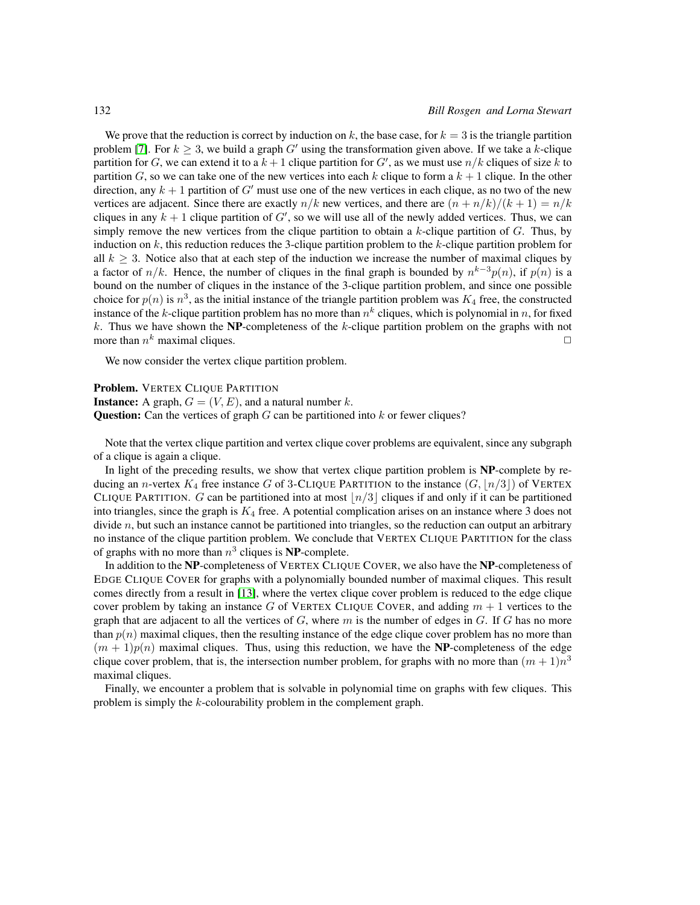We prove that the reduction is correct by induction on k, the base case, for  $k = 3$  is the triangle partition problem [\[7\]](#page-7-1). For  $k \geq 3$ , we build a graph G' using the transformation given above. If we take a k-clique partition for G, we can extend it to a  $k + 1$  clique partition for G', as we must use  $n/k$  cliques of size k to partition G, so we can take one of the new vertices into each k clique to form a  $k + 1$  clique. In the other direction, any  $k + 1$  partition of G' must use one of the new vertices in each clique, as no two of the new vertices are adjacent. Since there are exactly  $n/k$  new vertices, and there are  $(n + n/k)/(k + 1) = n/k$ cliques in any  $k + 1$  clique partition of  $G'$ , so we will use all of the newly added vertices. Thus, we can simply remove the new vertices from the clique partition to obtain a  $k$ -clique partition of  $G$ . Thus, by induction on  $k$ , this reduction reduces the 3-clique partition problem to the  $k$ -clique partition problem for all  $k \geq 3$ . Notice also that at each step of the induction we increase the number of maximal cliques by a factor of  $n/k$ . Hence, the number of cliques in the final graph is bounded by  $n^{k-3}p(n)$ , if  $p(n)$  is a bound on the number of cliques in the instance of the 3-clique partition problem, and since one possible choice for  $p(n)$  is  $n^3$ , as the initial instance of the triangle partition problem was  $K_4$  free, the constructed instance of the k-clique partition problem has no more than  $n^k$  cliques, which is polynomial in n, for fixed  $k$ . Thus we have shown the NP-completeness of the  $k$ -clique partition problem on the graphs with not more than  $n^k$  maximal cliques.  $\Box$ 

We now consider the vertex clique partition problem.

#### Problem. VERTEX CLIQUE PARTITION

**Instance:** A graph,  $G = (V, E)$ , and a natural number k. Question: Can the vertices of graph  $G$  can be partitioned into  $k$  or fewer cliques?

Note that the vertex clique partition and vertex clique cover problems are equivalent, since any subgraph of a clique is again a clique.

In light of the preceding results, we show that vertex clique partition problem is NP-complete by reducing an n-vertex  $K_4$  free instance G of 3-CLIQUE PARTITION to the instance  $(G, \lfloor n/3 \rfloor)$  of VERTEX CLIQUE PARTITION. G can be partitioned into at most  $\lfloor n/3 \rfloor$  cliques if and only if it can be partitioned into triangles, since the graph is  $K_4$  free. A potential complication arises on an instance where 3 does not divide n, but such an instance cannot be partitioned into triangles, so the reduction can output an arbitrary no instance of the clique partition problem. We conclude that VERTEX CLIQUE PARTITION for the class of graphs with no more than  $n^3$  cliques is NP-complete.

In addition to the NP-completeness of VERTEX CLIQUE COVER, we also have the NP-completeness of EDGE CLIQUE COVER for graphs with a polynomially bounded number of maximal cliques. This result comes directly from a result in [\[13\]](#page-8-10), where the vertex clique cover problem is reduced to the edge clique cover problem by taking an instance G of VERTEX CLIQUE COVER, and adding  $m + 1$  vertices to the graph that are adjacent to all the vertices of  $G$ , where  $m$  is the number of edges in  $G$ . If  $G$  has no more than  $p(n)$  maximal cliques, then the resulting instance of the edge clique cover problem has no more than  $(m + 1)p(n)$  maximal cliques. Thus, using this reduction, we have the NP-completeness of the edge clique cover problem, that is, the intersection number problem, for graphs with no more than  $(m + 1)n^3$ maximal cliques.

Finally, we encounter a problem that is solvable in polynomial time on graphs with few cliques. This problem is simply the k-colourability problem in the complement graph.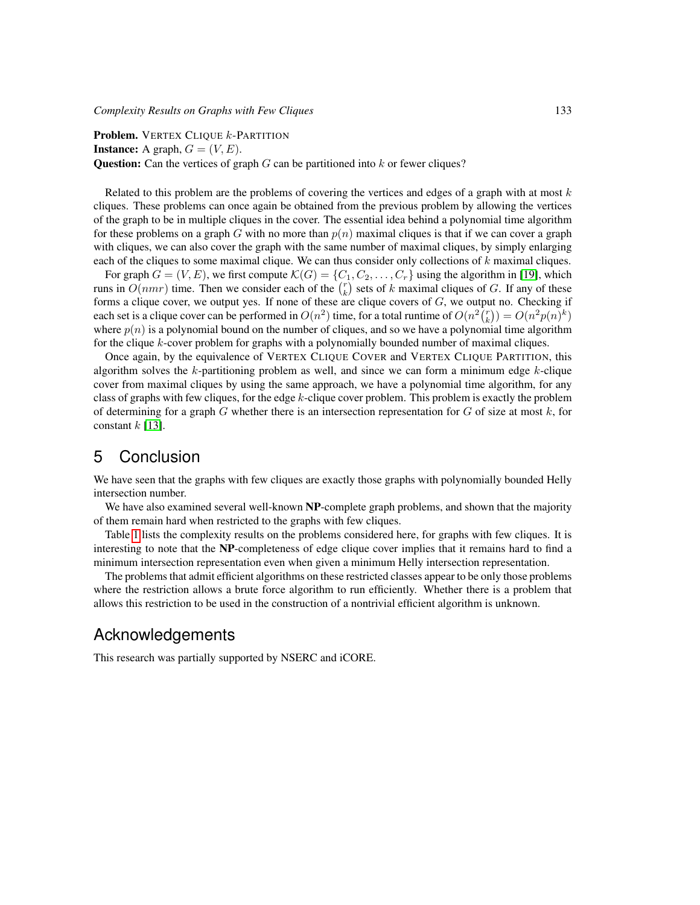Problem. VERTEX CLIQUE *k*-PARTITION **Instance:** A graph,  $G = (V, E)$ . Question: Can the vertices of graph  $G$  can be partitioned into  $k$  or fewer cliques?

Related to this problem are the problems of covering the vertices and edges of a graph with at most  $k$ cliques. These problems can once again be obtained from the previous problem by allowing the vertices of the graph to be in multiple cliques in the cover. The essential idea behind a polynomial time algorithm for these problems on a graph G with no more than  $p(n)$  maximal cliques is that if we can cover a graph with cliques, we can also cover the graph with the same number of maximal cliques, by simply enlarging each of the cliques to some maximal clique. We can thus consider only collections of  $k$  maximal cliques.

For graph  $G = (V, E)$ , we first compute  $\mathcal{K}(G) = \{C_1, C_2, \dots, C_r\}$  using the algorithm in [\[19\]](#page-8-5), which runs in  $O(nmr)$  time. Then we consider each of the  $\binom{r}{k}$  sets of k maximal cliques of G. If any of these forms a clique cover, we output yes. If none of these are clique covers of  $G$ , we output no. Checking if each set is a clique cover can be performed in  $O(n^2)$  time, for a total runtime of  $O(n^2 {r \choose k}) = O(n^2 p(n)^k)$ where  $p(n)$  is a polynomial bound on the number of cliques, and so we have a polynomial time algorithm for the clique k-cover problem for graphs with a polynomially bounded number of maximal cliques.

Once again, by the equivalence of VERTEX CLIQUE COVER and VERTEX CLIQUE PARTITION, this algorithm solves the  $k$ -partitioning problem as well, and since we can form a minimum edge  $k$ -clique cover from maximal cliques by using the same approach, we have a polynomial time algorithm, for any class of graphs with few cliques, for the edge  $k$ -clique cover problem. This problem is exactly the problem of determining for a graph  $G$  whether there is an intersection representation for  $G$  of size at most  $k$ , for constant  $k$  [\[13\]](#page-8-10).

## 5 Conclusion

We have seen that the graphs with few cliques are exactly those graphs with polynomially bounded Helly intersection number.

We have also examined several well-known NP-complete graph problems, and shown that the majority of them remain hard when restricted to the graphs with few cliques.

Table [1](#page-7-8) lists the complexity results on the problems considered here, for graphs with few cliques. It is interesting to note that the NP-completeness of edge clique cover implies that it remains hard to find a minimum intersection representation even when given a minimum Helly intersection representation.

The problems that admit efficient algorithms on these restricted classes appear to be only those problems where the restriction allows a brute force algorithm to run efficiently. Whether there is a problem that allows this restriction to be used in the construction of a nontrivial efficient algorithm is unknown.

## Acknowledgements

This research was partially supported by NSERC and iCORE.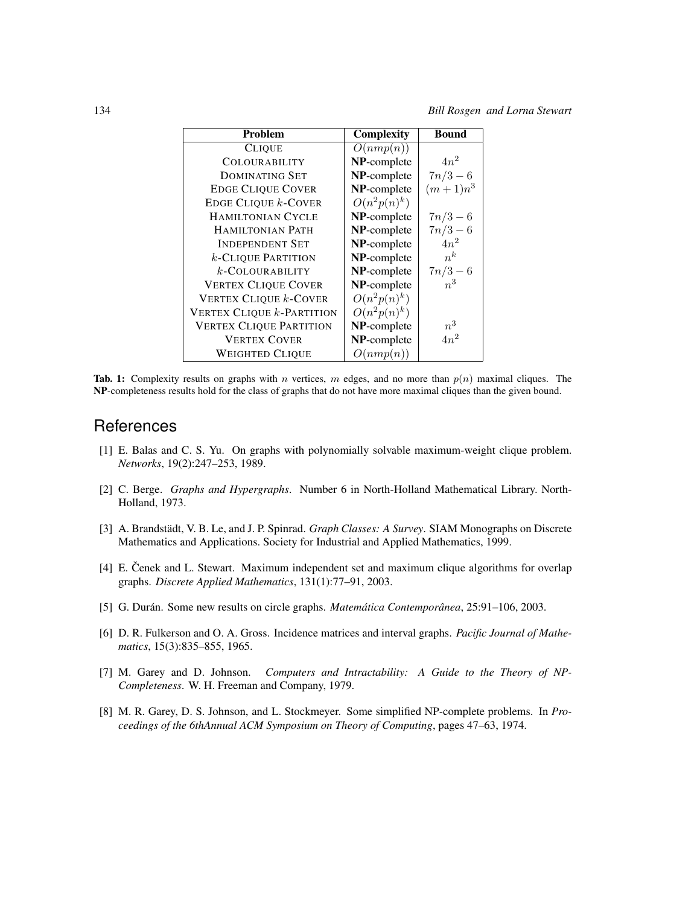| <b>Problem</b>                   | Complexity     | <b>Bound</b> |
|----------------------------------|----------------|--------------|
| <b>CLIQUE</b>                    | O(nmp(n))      |              |
| <b>COLOURABILITY</b>             | NP-complete    | $4n^2$       |
| <b>DOMINATING SET</b>            | NP-complete    | $7n/3-6$     |
| <b>EDGE CLIQUE COVER</b>         | NP-complete    | $(m+1)n^3$   |
| EDGE CLIQUE $k$ -COVER           | $O(n^2p(n)^k)$ |              |
| <b>HAMILTONIAN CYCLE</b>         | NP-complete    | $7n/3-6$     |
| <b>HAMILTONIAN PATH</b>          | NP-complete    | $7n/3-6$     |
| <b>INDEPENDENT SET</b>           | NP-complete    | $4n^2$       |
| $k$ -Clique Partition            | NP-complete    | $n^k$        |
| $k$ -COLOURABILITY               | NP-complete    | $7n/3 - 6$   |
| <b>VERTEX CLIQUE COVER</b>       | NP-complete    | $n^3$        |
| <b>VERTEX CLIQUE k-COVER</b>     | $O(n^2p(n)^k)$ |              |
| <b>VERTEX CLIQUE k-PARTITION</b> | $O(n^2p(n)^k)$ |              |
| <b>VERTEX CLIQUE PARTITION</b>   | NP-complete    | $n^3$        |
| <b>VERTEX COVER</b>              | NP-complete    | $4n^2$       |
| <b>WEIGHTED CLIQUE</b>           | O(nmp(n))      |              |

<span id="page-7-8"></span>**Tab. 1:** Complexity results on graphs with *n* vertices, *m* edges, and no more than  $p(n)$  maximal cliques. The NP-completeness results hold for the class of graphs that do not have more maximal cliques than the given bound.

## **References**

- <span id="page-7-5"></span>[1] E. Balas and C. S. Yu. On graphs with polynomially solvable maximum-weight clique problem. *Networks*, 19(2):247–253, 1989.
- <span id="page-7-6"></span>[2] C. Berge. *Graphs and Hypergraphs*. Number 6 in North-Holland Mathematical Library. North-Holland, 1973.
- <span id="page-7-0"></span>[3] A. Brandstädt, V. B. Le, and J. P. Spinrad. *Graph Classes: A Survey*. SIAM Monographs on Discrete Mathematics and Applications. Society for Industrial and Applied Mathematics, 1999.
- <span id="page-7-3"></span>[4] E. Cenek and L. Stewart. Maximum independent set and maximum clique algorithms for overlap graphs. *Discrete Applied Mathematics*, 131(1):77–91, 2003.
- <span id="page-7-2"></span>[5] G. Durán. Some new results on circle graphs. *Matemática Contemporânea*, 25:91–106, 2003.
- <span id="page-7-4"></span>[6] D. R. Fulkerson and O. A. Gross. Incidence matrices and interval graphs. *Pacific Journal of Mathematics*, 15(3):835–855, 1965.
- <span id="page-7-1"></span>[7] M. Garey and D. Johnson. *Computers and Intractability: A Guide to the Theory of NP-Completeness*. W. H. Freeman and Company, 1979.
- <span id="page-7-7"></span>[8] M. R. Garey, D. S. Johnson, and L. Stockmeyer. Some simplified NP-complete problems. In *Proceedings of the 6thAnnual ACM Symposium on Theory of Computing*, pages 47–63, 1974.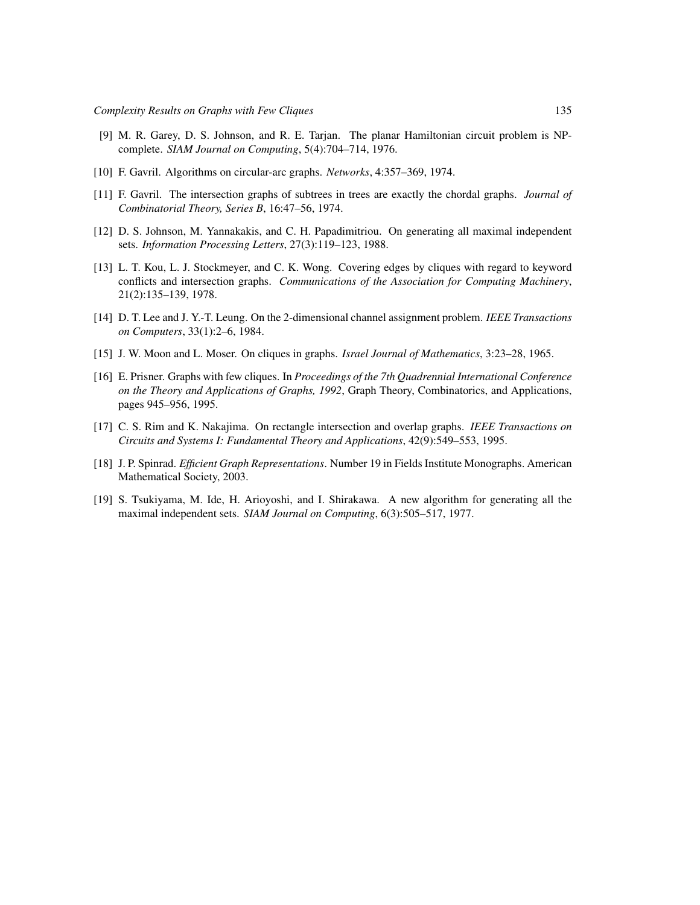- <span id="page-8-9"></span>[9] M. R. Garey, D. S. Johnson, and R. E. Tarjan. The planar Hamiltonian circuit problem is NPcomplete. *SIAM Journal on Computing*, 5(4):704–714, 1976.
- <span id="page-8-3"></span>[10] F. Gavril. Algorithms on circular-arc graphs. *Networks*, 4:357–369, 1974.
- <span id="page-8-2"></span>[11] F. Gavril. The intersection graphs of subtrees in trees are exactly the chordal graphs. *Journal of Combinatorial Theory, Series B*, 16:47–56, 1974.
- <span id="page-8-6"></span>[12] D. S. Johnson, M. Yannakakis, and C. H. Papadimitriou. On generating all maximal independent sets. *Information Processing Letters*, 27(3):119–123, 1988.
- <span id="page-8-10"></span>[13] L. T. Kou, L. J. Stockmeyer, and C. K. Wong. Covering edges by cliques with regard to keyword conflicts and intersection graphs. *Communications of the Association for Computing Machinery*, 21(2):135–139, 1978.
- <span id="page-8-7"></span>[14] D. T. Lee and J. Y.-T. Leung. On the 2-dimensional channel assignment problem. *IEEE Transactions on Computers*, 33(1):2–6, 1984.
- <span id="page-8-1"></span>[15] J. W. Moon and L. Moser. On cliques in graphs. *Israel Journal of Mathematics*, 3:23–28, 1965.
- <span id="page-8-0"></span>[16] E. Prisner. Graphs with few cliques. In *Proceedings of the 7th Quadrennial International Conference on the Theory and Applications of Graphs, 1992*, Graph Theory, Combinatorics, and Applications, pages 945–956, 1995.
- <span id="page-8-8"></span>[17] C. S. Rim and K. Nakajima. On rectangle intersection and overlap graphs. *IEEE Transactions on Circuits and Systems I: Fundamental Theory and Applications*, 42(9):549–553, 1995.
- <span id="page-8-4"></span>[18] J. P. Spinrad. *Efficient Graph Representations*. Number 19 in Fields Institute Monographs. American Mathematical Society, 2003.
- <span id="page-8-5"></span>[19] S. Tsukiyama, M. Ide, H. Arioyoshi, and I. Shirakawa. A new algorithm for generating all the maximal independent sets. *SIAM Journal on Computing*, 6(3):505–517, 1977.